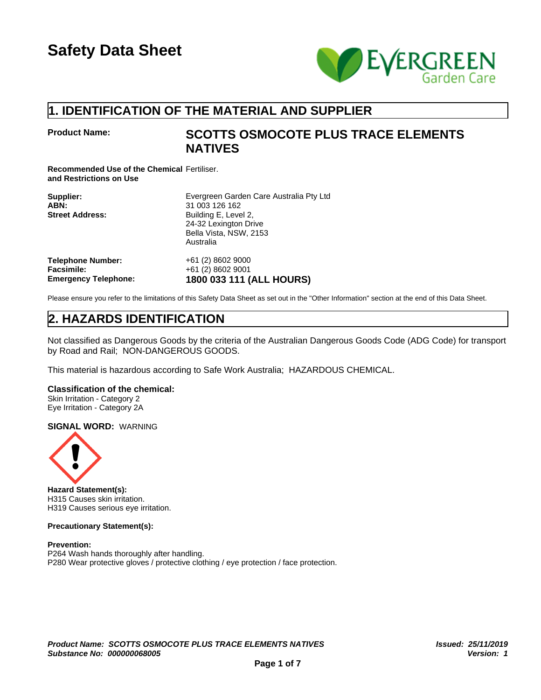

## **1. IDENTIFICATION OF THE MATERIAL AND SUPPLIER**

## **Product Name: SCOTTS OSMOCOTE PLUS TRACE ELEMENTS NATIVES**

**Recommended Use of the Chemical** Fertiliser. **and Restrictions on Use**

| Supplier:<br>ABN:<br><b>Street Address:</b> | Evergreen Garden Care Australia Pty Ltd<br>31 003 126 162<br>Building E, Level 2,<br>24-32 Lexington Drive<br>Bella Vista, NSW, 2153<br>Australia |
|---------------------------------------------|---------------------------------------------------------------------------------------------------------------------------------------------------|
| <b>Telephone Number:</b>                    | +61 (2) 8602 9000                                                                                                                                 |
| <b>Facsimile:</b>                           | +61 (2) 8602 9001                                                                                                                                 |
| <b>Emergency Telephone:</b>                 | 1800 033 111 (ALL HOURS)                                                                                                                          |

Please ensure you refer to the limitations of this Safety Data Sheet as set out in the "Other Information" section at the end of this Data Sheet.

## **2. HAZARDS IDENTIFICATION**

Not classified as Dangerous Goods by the criteria of the Australian Dangerous Goods Code (ADG Code) for transport by Road and Rail; NON-DANGEROUS GOODS.

This material is hazardous according to Safe Work Australia; HAZARDOUS CHEMICAL.

#### **Classification of the chemical:**

Skin Irritation - Category 2 Eye Irritation - Category 2A

#### **SIGNAL WORD:** WARNING



**Hazard Statement(s):** H315 Causes skin irritation. H319 Causes serious eye irritation.

### **Precautionary Statement(s):**

**Prevention:** P264 Wash hands thoroughly after handling. P280 Wear protective gloves / protective clothing / eye protection / face protection.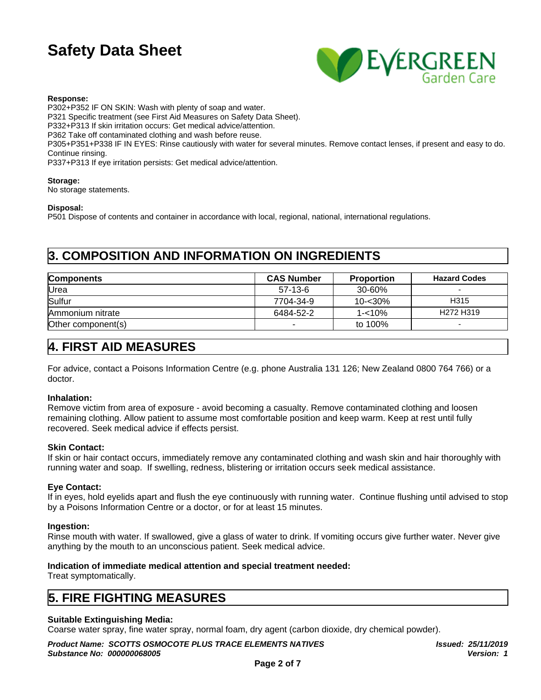

#### **Response:**

P302+P352 IF ON SKIN: Wash with plenty of soap and water. P321 Specific treatment (see First Aid Measures on Safety Data Sheet). P332+P313 If skin irritation occurs: Get medical advice/attention. P362 Take off contaminated clothing and wash before reuse. P305+P351+P338 IF IN EYES: Rinse cautiously with water for several minutes. Remove contact lenses, if present and easy to do. Continue rinsing. P337+P313 If eye irritation persists: Get medical advice/attention.

#### **Storage:**

No storage statements.

#### **Disposal:**

P501 Dispose of contents and container in accordance with local, regional, national, international regulations.

## **3. COMPOSITION AND INFORMATION ON INGREDIENTS**

| <b>Components</b>  | <b>CAS Number</b> | <b>Proportion</b> | <b>Hazard Codes</b>               |
|--------------------|-------------------|-------------------|-----------------------------------|
| Urea               | $57-13-6$         | 30-60%            |                                   |
| Sulfur             | 7704-34-9         | 10-<30%           | H315                              |
| Ammonium nitrate   | 6484-52-2         | 1-<10%            | H <sub>272</sub> H <sub>319</sub> |
| Other component(s) |                   | to 100%           |                                   |

### **4. FIRST AID MEASURES**

For advice, contact a Poisons Information Centre (e.g. phone Australia 131 126; New Zealand 0800 764 766) or a doctor.

#### **Inhalation:**

Remove victim from area of exposure - avoid becoming a casualty. Remove contaminated clothing and loosen remaining clothing. Allow patient to assume most comfortable position and keep warm. Keep at rest until fully recovered. Seek medical advice if effects persist.

#### **Skin Contact:**

If skin or hair contact occurs, immediately remove any contaminated clothing and wash skin and hair thoroughly with running water and soap. If swelling, redness, blistering or irritation occurs seek medical assistance.

#### **Eye Contact:**

If in eyes, hold eyelids apart and flush the eye continuously with running water. Continue flushing until advised to stop by a Poisons Information Centre or a doctor, or for at least 15 minutes.

#### **Ingestion:**

Rinse mouth with water. If swallowed, give a glass of water to drink. If vomiting occurs give further water. Never give anything by the mouth to an unconscious patient. Seek medical advice.

#### **Indication of immediate medical attention and special treatment needed:**

Treat symptomatically.

### **5. FIRE FIGHTING MEASURES**

#### **Suitable Extinguishing Media:**

Coarse water spray, fine water spray, normal foam, dry agent (carbon dioxide, dry chemical powder).

*Product Name: SCOTTS OSMOCOTE PLUS TRACE ELEMENTS NATIVES Substance No: 000000068005*

*Issued: 25/11/2019 Version: 1*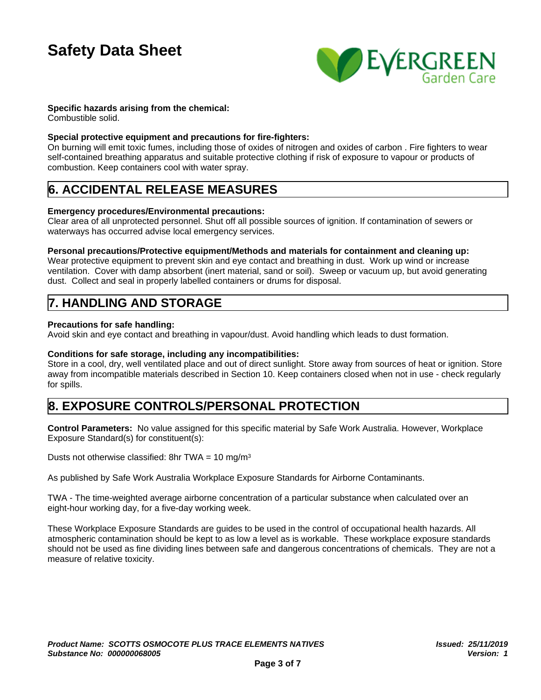

#### **Specific hazards arising from the chemical:**

Combustible solid.

#### **Special protective equipment and precautions for fire-fighters:**

On burning will emit toxic fumes, including those of oxides of nitrogen and oxides of carbon . Fire fighters to wear self-contained breathing apparatus and suitable protective clothing if risk of exposure to vapour or products of combustion. Keep containers cool with water spray.

## **6. ACCIDENTAL RELEASE MEASURES**

#### **Emergency procedures/Environmental precautions:**

Clear area of all unprotected personnel. Shut off all possible sources of ignition. If contamination of sewers or waterways has occurred advise local emergency services.

#### **Personal precautions/Protective equipment/Methods and materials for containment and cleaning up:**

Wear protective equipment to prevent skin and eye contact and breathing in dust. Work up wind or increase ventilation. Cover with damp absorbent (inert material, sand or soil). Sweep or vacuum up, but avoid generating dust. Collect and seal in properly labelled containers or drums for disposal.

## **7. HANDLING AND STORAGE**

#### **Precautions for safe handling:**

Avoid skin and eye contact and breathing in vapour/dust. Avoid handling which leads to dust formation.

#### **Conditions for safe storage, including any incompatibilities:**

Store in a cool, dry, well ventilated place and out of direct sunlight. Store away from sources of heat or ignition. Store away from incompatible materials described in Section 10. Keep containers closed when not in use - check regularly for spills.

## **8. EXPOSURE CONTROLS/PERSONAL PROTECTION**

**Control Parameters:** No value assigned for this specific material by Safe Work Australia. However, Workplace Exposure Standard(s) for constituent(s):

Dusts not otherwise classified: 8hr TWA =  $10 \text{ mg/m}^3$ 

As published by Safe Work Australia Workplace Exposure Standards for Airborne Contaminants.

TWA - The time-weighted average airborne concentration of a particular substance when calculated over an eight-hour working day, for a five-day working week.

These Workplace Exposure Standards are guides to be used in the control of occupational health hazards. All atmospheric contamination should be kept to as low a level as is workable. These workplace exposure standards should not be used as fine dividing lines between safe and dangerous concentrations of chemicals. They are not a measure of relative toxicity.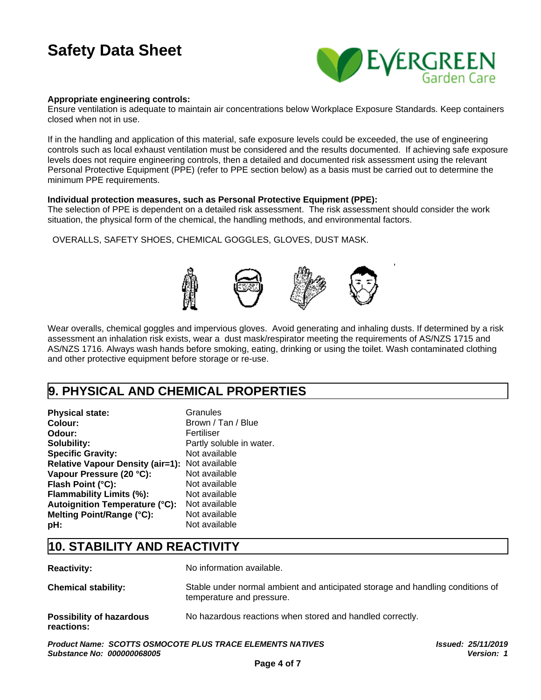

#### **Appropriate engineering controls:**

Ensure ventilation is adequate to maintain air concentrations below Workplace Exposure Standards. Keep containers closed when not in use.

If in the handling and application of this material, safe exposure levels could be exceeded, the use of engineering controls such as local exhaust ventilation must be considered and the results documented. If achieving safe exposure levels does not require engineering controls, then a detailed and documented risk assessment using the relevant Personal Protective Equipment (PPE) (refer to PPE section below) as a basis must be carried out to determine the minimum PPE requirements.

#### **Individual protection measures, such as Personal Protective Equipment (PPE):**

The selection of PPE is dependent on a detailed risk assessment. The risk assessment should consider the work situation, the physical form of the chemical, the handling methods, and environmental factors.

OVERALLS, SAFETY SHOES, CHEMICAL GOGGLES, GLOVES, DUST MASK.



Wear overalls, chemical goggles and impervious gloves. Avoid generating and inhaling dusts. If determined by a risk assessment an inhalation risk exists, wear a dust mask/respirator meeting the requirements of AS/NZS 1715 and AS/NZS 1716. Always wash hands before smoking, eating, drinking or using the toilet. Wash contaminated clothing and other protective equipment before storage or re-use.

## **9. PHYSICAL AND CHEMICAL PROPERTIES**

| <b>Physical state:</b>                         | Granules                 |
|------------------------------------------------|--------------------------|
| Colour:                                        | Brown / Tan / Blue       |
| Odour:                                         | Fertiliser               |
| Solubility:                                    | Partly soluble in water. |
| <b>Specific Gravity:</b>                       | Not available            |
| Relative Vapour Density (air=1): Not available |                          |
| Vapour Pressure (20 °C):                       | Not available            |
| Flash Point (°C):                              | Not available            |
| Flammability Limits (%):                       | Not available            |
| Autoignition Temperature (°C):                 | Not available            |
| Melting Point/Range (°C):                      | Not available            |
| pH:                                            | Not available            |

## **10. STABILITY AND REACTIVITY**

| <b>Reactivity:</b>                            | No information available.                                                                                   |
|-----------------------------------------------|-------------------------------------------------------------------------------------------------------------|
| <b>Chemical stability:</b>                    | Stable under normal ambient and anticipated storage and handling conditions of<br>temperature and pressure. |
| <b>Possibility of hazardous</b><br>reactions: | No hazardous reactions when stored and handled correctly.                                                   |

*Product Name: SCOTTS OSMOCOTE PLUS TRACE ELEMENTS NATIVES Substance No: 000000068005*

*Issued: 25/11/2019 Version: 1*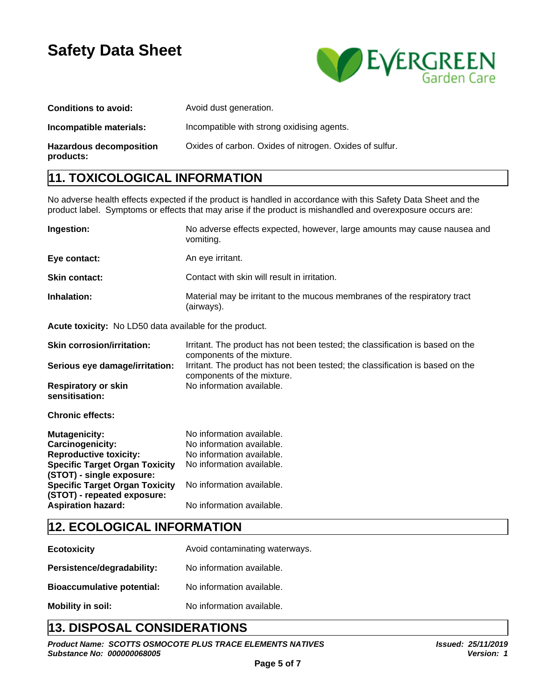

| <b>Conditions to avoid:</b>                 | Avoid dust generation.                                  |
|---------------------------------------------|---------------------------------------------------------|
| Incompatible materials:                     | Incompatible with strong oxidising agents.              |
| <b>Hazardous decomposition</b><br>products: | Oxides of carbon. Oxides of nitrogen. Oxides of sulfur. |

## **11. TOXICOLOGICAL INFORMATION**

No adverse health effects expected if the product is handled in accordance with this Safety Data Sheet and the product label. Symptoms or effects that may arise if the product is mishandled and overexposure occurs are:

| <b>Ingestion:</b>    | No adverse effects expected, however, large amounts may cause nausea and<br>vomiting.   |
|----------------------|-----------------------------------------------------------------------------------------|
| Eye contact:         | An eye irritant.                                                                        |
| <b>Skin contact:</b> | Contact with skin will result in irritation.                                            |
| Inhalation:          | Material may be irritant to the mucous membranes of the respiratory tract<br>(airways). |

**Acute toxicity:** No LD50 data available for the product.

| <b>Skin corrosion/irritation:</b>                                  | Irritant. The product has not been tested; the classification is based on the<br>components of the mixture. |
|--------------------------------------------------------------------|-------------------------------------------------------------------------------------------------------------|
| Serious eye damage/irritation:                                     | Irritant. The product has not been tested; the classification is based on the<br>components of the mixture. |
| <b>Respiratory or skin</b><br>sensitisation:                       | No information available.                                                                                   |
| <b>Chronic effects:</b>                                            |                                                                                                             |
| <b>Mutagenicity:</b>                                               | No information available.                                                                                   |
| Carcinogenicity:                                                   | No information available.                                                                                   |
| <b>Reproductive toxicity:</b>                                      | No information available.                                                                                   |
| <b>Specific Target Organ Toxicity</b><br>(STOT) - single exposure: | No information available.                                                                                   |

| <b>Specific Target Organ Toxicity</b><br>(STOT) - repeated exposure: | No information available. |
|----------------------------------------------------------------------|---------------------------|
| <b>Aspiration hazard:</b>                                            | No information available. |

## **12. ECOLOGICAL INFORMATION**

| <b>Ecotoxicity</b>                | Avoid contaminating waterways. |
|-----------------------------------|--------------------------------|
| Persistence/degradability:        | No information available.      |
| <b>Bioaccumulative potential:</b> | No information available.      |
| <b>Mobility in soil:</b>          | No information available.      |

## **13. DISPOSAL CONSIDERATIONS**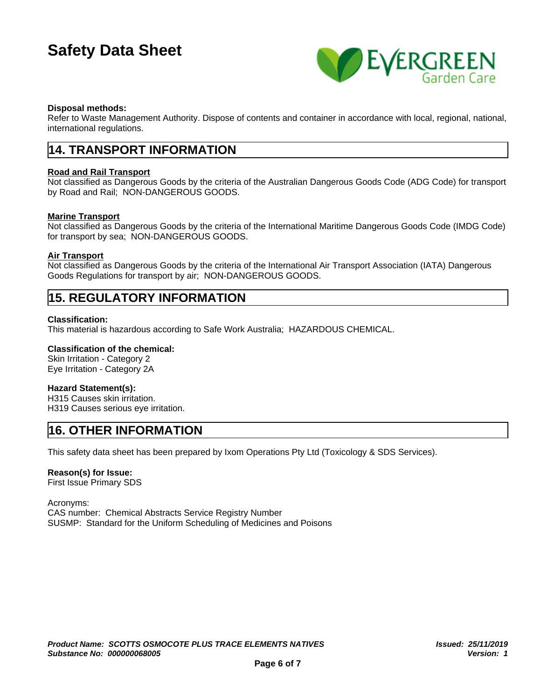

#### **Disposal methods:**

Refer to Waste Management Authority. Dispose of contents and container in accordance with local, regional, national, international regulations.

### **14. TRANSPORT INFORMATION**

#### **Road and Rail Transport**

Not classified as Dangerous Goods by the criteria of the Australian Dangerous Goods Code (ADG Code) for transport by Road and Rail; NON-DANGEROUS GOODS.

#### **Marine Transport**

Not classified as Dangerous Goods by the criteria of the International Maritime Dangerous Goods Code (IMDG Code) for transport by sea; NON-DANGEROUS GOODS.

#### **Air Transport**

Not classified as Dangerous Goods by the criteria of the International Air Transport Association (IATA) Dangerous Goods Regulations for transport by air; NON-DANGEROUS GOODS.

### **15. REGULATORY INFORMATION**

#### **Classification:**

This material is hazardous according to Safe Work Australia; HAZARDOUS CHEMICAL.

#### **Classification of the chemical:**

Skin Irritation - Category 2 Eye Irritation - Category 2A

#### **Hazard Statement(s):**

H315 Causes skin irritation. H319 Causes serious eye irritation.

## **16. OTHER INFORMATION**

This safety data sheet has been prepared by Ixom Operations Pty Ltd (Toxicology & SDS Services).

#### **Reason(s) for Issue:**

First Issue Primary SDS

Acronyms: CAS number: Chemical Abstracts Service Registry Number SUSMP: Standard for the Uniform Scheduling of Medicines and Poisons